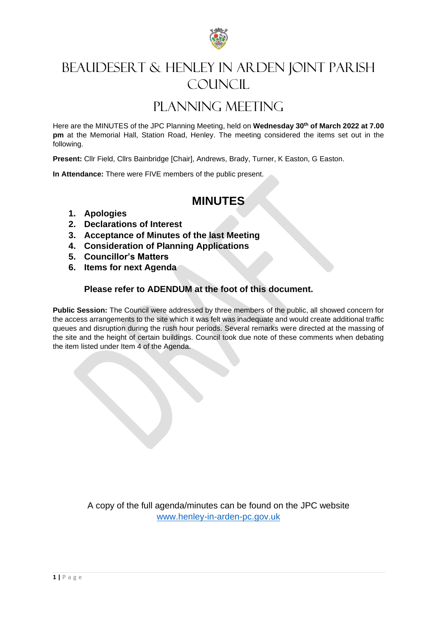

## BEAUDESERT & HENLEY IN ARDEN JOINT PARISH COUNCIL.

## PLANNING MEETING

Here are the MINUTES of the JPC Planning Meeting, held on **Wednesday 30th of March 2022 at 7.00 pm** at the Memorial Hall, Station Road, Henley. The meeting considered the items set out in the following.

**Present:** Cllr Field, Cllrs Bainbridge [Chair], Andrews, Brady, Turner, K Easton, G Easton.

**In Attendance:** There were FIVE members of the public present.

## **MINUTES**

- **1. Apologies**
- **2. Declarations of Interest**
- **3. Acceptance of Minutes of the last Meeting**
- **4. Consideration of Planning Applications**
- **5. Councillor's Matters**
- **6. Items for next Agenda**

## **Please refer to ADENDUM at the foot of this document.**

**Public Session:** The Council were addressed by three members of the public, all showed concern for the access arrangements to the site which it was felt was inadequate and would create additional traffic queues and disruption during the rush hour periods. Several remarks were directed at the massing of the site and the height of certain buildings. Council took due note of these comments when debating the item listed under Item 4 of the Agenda.

> A copy of the full agenda/minutes can be found on the JPC website [www.henley-in-arden-pc.gov.uk](http://www.henley-in-arden-pc.gov.uk/)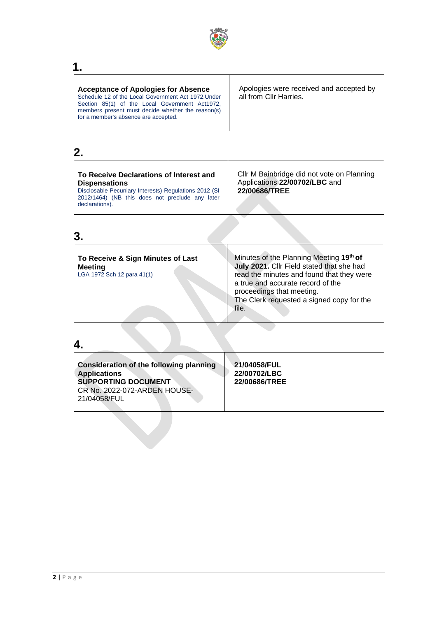

# $\frac{1}{\Box}$

| <b>Acceptance of Apologies for Absence</b><br>Schedule 12 of the Local Government Act 1972. Under<br>Section 85(1) of the Local Government Act1972,<br>members present must decide whether the reason(s)<br>for a member's absence are accepted. | Apologies were received and accepted by<br>all from Cllr Harries. |
|--------------------------------------------------------------------------------------------------------------------------------------------------------------------------------------------------------------------------------------------------|-------------------------------------------------------------------|
|                                                                                                                                                                                                                                                  |                                                                   |

 $\overline{\mathsf{I}}$ 

## **2.**

| To Receive Declarations of Interest and<br><b>Dispensations</b><br>Disclosable Pecuniary Interests) Regulations 2012 (SI<br>2012/1464) (NB this does not preclude any later<br>declarations). | Cllr M Bainbridge did not vote on Planning<br>Applications 22/00702/LBC and<br>22/00686/TREE |
|-----------------------------------------------------------------------------------------------------------------------------------------------------------------------------------------------|----------------------------------------------------------------------------------------------|
|-----------------------------------------------------------------------------------------------------------------------------------------------------------------------------------------------|----------------------------------------------------------------------------------------------|

## **3.**

| To Receive & Sign Minutes of Last<br><b>Meeting</b> | Minutes of the Planning Meeting 19th of<br>July 2021. Cllr Field stated that she had                                                                     |
|-----------------------------------------------------|----------------------------------------------------------------------------------------------------------------------------------------------------------|
| LGA 1972 Sch 12 para 41(1)                          | read the minutes and found that they were<br>a true and accurate record of the<br>proceedings that meeting.<br>The Clerk requested a signed copy for the |
|                                                     | file.                                                                                                                                                    |

## **4.**

| Consideration of the following planning<br><b>Applications</b><br><b>SUPPORTING DOCUMENT</b><br>CR No. 2022-072-ARDEN HOUSE-<br>21/04058/FUL | 21/04058/FUL<br>22/00702/LBC<br>22/00686/TREE |
|----------------------------------------------------------------------------------------------------------------------------------------------|-----------------------------------------------|
|                                                                                                                                              |                                               |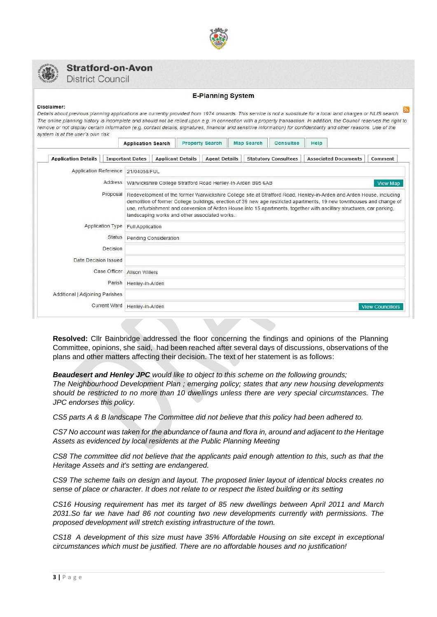



### **Stratford-on-Avon**

**District Council** 

### **E-Planning System**

#### Disclaimer:

Details about previous planning applications are currently provided from 1974 onwards. This service is not a substitute for a local land charges or NLIS search. The online planning history is incomplete and should not be relied upon e.g. in connection with a property transaction. In addition, the Council reserves the right to remove or not display certain information (e.g. contact details, signatures, financial and sensitive information) for confidentiality and other reasons. Use of the system is at the user's own risk

|                                 | <b>Application Search</b>                                                                                                                                                                                                                                                                                                                                                                                              |                                                                                | <b>Property Search</b> |  | <b>Map Search</b> | Consultee                   | Help |                             |                         |
|---------------------------------|------------------------------------------------------------------------------------------------------------------------------------------------------------------------------------------------------------------------------------------------------------------------------------------------------------------------------------------------------------------------------------------------------------------------|--------------------------------------------------------------------------------|------------------------|--|-------------------|-----------------------------|------|-----------------------------|-------------------------|
| <b>Application Details</b>      | <b>Important Dates</b>                                                                                                                                                                                                                                                                                                                                                                                                 | <b>Applicant Details</b>                                                       | <b>Agent Details</b>   |  |                   | <b>Statutory Consultees</b> |      | <b>Associated Documents</b> | Comment                 |
| Application Reference           | 21/04058/FUL                                                                                                                                                                                                                                                                                                                                                                                                           |                                                                                |                        |  |                   |                             |      |                             |                         |
| Address                         |                                                                                                                                                                                                                                                                                                                                                                                                                        | Warwickshire College Stratford Road Henley-In-Arden B95 6AB<br><b>View Map</b> |                        |  |                   |                             |      |                             |                         |
| Proposal                        | Redevelopment of the former Warwickshire College site at Stratford Road, Henley-in-Arden and Arden House, including<br>demolition of former College buildings, erection of 39 new age restricted apartments, 19 new townhouses and change of<br>use, refurbishment and conversion of Arden House into 15 apartments, together with ancillary structures, car parking,<br>landscaping works and other associated works. |                                                                                |                        |  |                   |                             |      |                             |                         |
| Application Type                | Full Application                                                                                                                                                                                                                                                                                                                                                                                                       |                                                                                |                        |  |                   |                             |      |                             |                         |
| Status                          | Pending Consideration                                                                                                                                                                                                                                                                                                                                                                                                  |                                                                                |                        |  |                   |                             |      |                             |                         |
| Decision                        |                                                                                                                                                                                                                                                                                                                                                                                                                        |                                                                                |                        |  |                   |                             |      |                             |                         |
| Date Decision Issued            |                                                                                                                                                                                                                                                                                                                                                                                                                        |                                                                                |                        |  |                   |                             |      |                             |                         |
| Case Officer                    | <b>Alison Willers</b>                                                                                                                                                                                                                                                                                                                                                                                                  |                                                                                |                        |  |                   |                             |      |                             |                         |
| Parish                          | Henley-in-Arden                                                                                                                                                                                                                                                                                                                                                                                                        |                                                                                |                        |  |                   |                             |      |                             |                         |
| Additional   Adjoining Parishes |                                                                                                                                                                                                                                                                                                                                                                                                                        |                                                                                |                        |  |                   |                             |      |                             |                         |
| Current Ward                    | Henley-in-Arden                                                                                                                                                                                                                                                                                                                                                                                                        |                                                                                |                        |  |                   |                             |      |                             | <b>View Councillors</b> |

**Resolved:** Cllr Bainbridge addressed the floor concerning the findings and opinions of the Planning Committee, opinions, she said, had been reached after several days of discussions, observations of the plans and other matters affecting their decision. The text of her statement is as follows:

### *Beaudesert and Henley JPC would like to object to this scheme on the following grounds;*

*The Neighbourhood Development Plan ; emerging policy; states that any new housing developments should be restricted to no more than 10 dwellings unless there are very special circumstances. The JPC endorses this policy.*

*CS5 parts A & B landscape The Committee did not believe that this policy had been adhered to.*

*CS7 No account was taken for the abundance of fauna and flora in, around and adjacent to the Heritage Assets as evidenced by local residents at the Public Planning Meeting*

*CS8 The committee did not believe that the applicants paid enough attention to this, such as that the Heritage Assets and it's setting are endangered.*

*CS9 The scheme fails on design and layout. The proposed linier layout of identical blocks creates no sense of place or character. It does not relate to or respect the listed building or its setting*

*CS16 Housing requirement has met its target of 85 new dwellings between April 2011 and March 2031.So far we have had 86 not counting two new developments currently with permissions. The proposed development will stretch existing infrastructure of the town.*

*CS18 A development of this size must have 35% Affordable Housing on site except in exceptional circumstances which must be justified. There are no affordable houses and no justification!*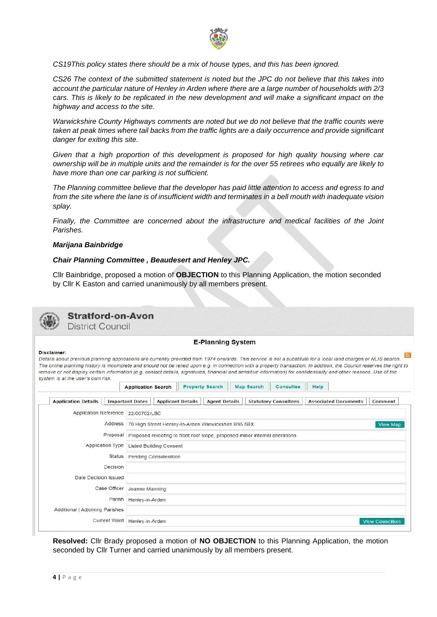

*CS19This policy states there should be a mix of house types, and this has been ignored.*

*CS26 The context of the submitted statement is noted but the JPC do not believe that this takes into account the particular nature of Henley in Arden where there are a large number of households with 2/3 cars. This is likely to be replicated in the new development and will make a significant impact on the highway and access to the site.*

*Warwickshire County Highways comments are noted but we do not believe that the traffic counts were taken at peak times where tail backs from the traffic lights are a daily occurrence and provide significant danger for exiting this site.*

*Given that a high proportion of this development is proposed for high quality housing where car ownership will be in multiple units and the remainder is for the over 55 retirees who equally are likely to have more than one car parking is not sufficient.*

*The Planning committee believe that the developer has paid little attention to access and egress to and from the site where the lane is of insufficient width and terminates in a bell mouth with inadequate vision splay.*

*Finally, the Committee are concerned about the infrastructure and medical facilities of the Joint Parishes.*

### *Marijana Bainbridge*

### *Chair Planning Committee , Beaudesert and Henley JPC.*

Cllr Bainbridge, proposed a motion of **OBJECTION** to this Planning Application, the motion seconded by Cllr K Easton and carried unanimously by all members present.



**Resolved:** Cllr Brady proposed a motion of **NO OBJECTION** to this Planning Application, the motion seconded by Cllr Turner and carried unanimously by all members present.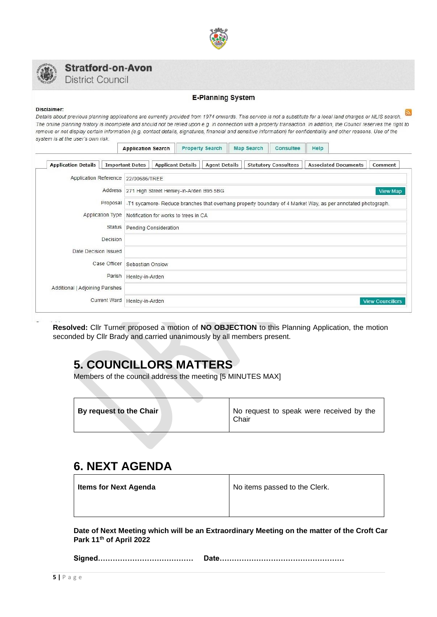



## **Stratford-on-Avon**

**District Council** 

### **E-Planning System**

#### Disclaimer:

Details about previous planning applications are currently provided from 1974 onwards. This service is not a substitute for a local land charges or NLIS search. The online planning history is incomplete and should not be relied upon e.g. in connection with a property transaction. In addition, the Council reserves the right to remove or not display certain information (e.g. contact details, signatures, financial and sensitive information) for confidentiality and other reasons. Use of the system is at the user's own risk.

| <b>Application Details</b>            |              |                                                                                                             |                                                             | <b>Applicant Details</b> |                      |  |  |                             |  | <b>Associated Documents</b> |                         |
|---------------------------------------|--------------|-------------------------------------------------------------------------------------------------------------|-------------------------------------------------------------|--------------------------|----------------------|--|--|-----------------------------|--|-----------------------------|-------------------------|
|                                       |              | <b>Important Dates</b>                                                                                      |                                                             |                          | <b>Agent Details</b> |  |  | <b>Statutory Consultees</b> |  |                             | Comment                 |
| Application Reference   22/00686/TREE |              |                                                                                                             |                                                             |                          |                      |  |  |                             |  |                             |                         |
|                                       |              |                                                                                                             | Address 271 High Street Henley-in-Arden B95 5BG<br>View Map |                          |                      |  |  |                             |  |                             |                         |
|                                       | Proposal     | -T1 sycamore- Reduce branches that overhang property boundary of 4 Market Way, as per annotated photograph. |                                                             |                          |                      |  |  |                             |  |                             |                         |
| Application Type                      |              | Notification for works to trees in CA                                                                       |                                                             |                          |                      |  |  |                             |  |                             |                         |
|                                       | Status       | Pending Consideration                                                                                       |                                                             |                          |                      |  |  |                             |  |                             |                         |
|                                       | Decision     |                                                                                                             |                                                             |                          |                      |  |  |                             |  |                             |                         |
| Date Decision Issued                  |              |                                                                                                             |                                                             |                          |                      |  |  |                             |  |                             |                         |
|                                       | Case Officer | Sebastian Onslow                                                                                            |                                                             |                          |                      |  |  |                             |  |                             |                         |
|                                       | Parish       | Henley-in-Arden                                                                                             |                                                             |                          |                      |  |  |                             |  |                             |                         |
| Additional   Adjoining Parishes       |              |                                                                                                             |                                                             |                          |                      |  |  |                             |  |                             |                         |
| Current Ward                          |              | Henley-in-Arden                                                                                             |                                                             |                          |                      |  |  |                             |  |                             | <b>View Councillors</b> |

**Resolved:** Cllr Turner proposed a motion of **NO OBJECTION** to this Planning Application, the motion seconded by Cllr Brady and carried unanimously by all members present.

## **5. COUNCILLORS MATTERS**

Members of the council address the meeting [5 MINUTES MAX]

|  | By request to the Chair | No request to speak were received by the<br>Chair |
|--|-------------------------|---------------------------------------------------|
|--|-------------------------|---------------------------------------------------|

## **6. NEXT AGENDA**

**Items for Next Agenda** No items passed to the Clerk.

**Date of Next Meeting which will be an Extraordinary Meeting on the matter of the Croft Car Park 11th of April 2022**

**Signed………………………………… Date……………………………………………**